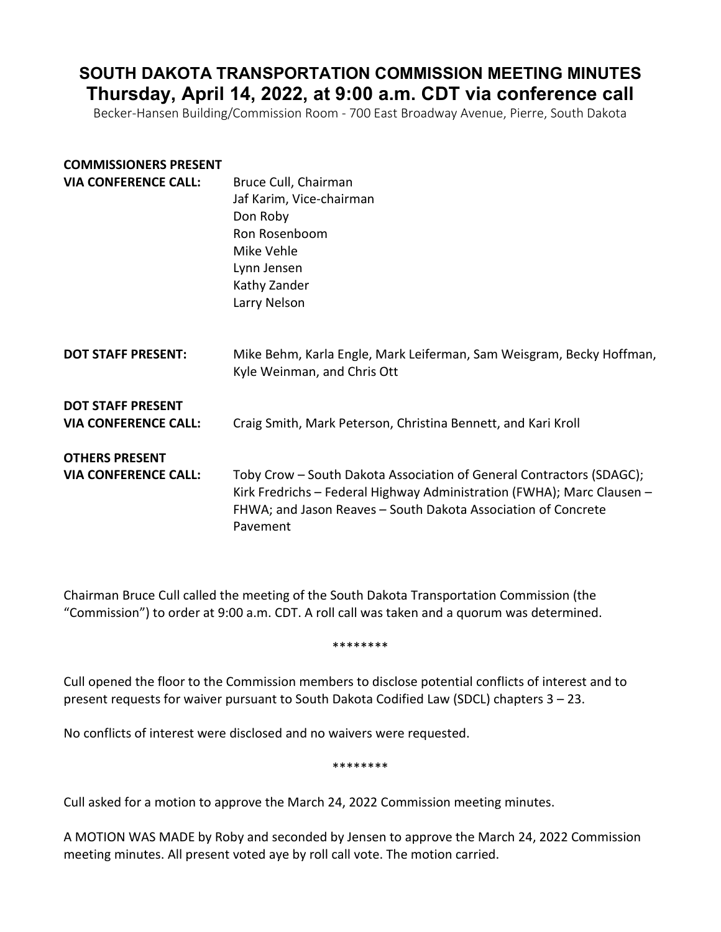# **SOUTH DAKOTA TRANSPORTATION COMMISSION MEETING MINUTES Thursday, April 14, 2022, at 9:00 a.m. CDT via conference call**

Becker-Hansen Building/Commission Room - 700 East Broadway Avenue, Pierre, South Dakota

## **COMMISSIONERS PRESENT**

| <b>VIA CONFERENCE CALL:</b>                             | Bruce Cull, Chairman<br>Jaf Karim, Vice-chairman<br>Don Roby<br>Ron Rosenboom<br>Mike Vehle<br>Lynn Jensen<br>Kathy Zander<br>Larry Nelson                                                                                  |
|---------------------------------------------------------|-----------------------------------------------------------------------------------------------------------------------------------------------------------------------------------------------------------------------------|
| <b>DOT STAFF PRESENT:</b>                               | Mike Behm, Karla Engle, Mark Leiferman, Sam Weisgram, Becky Hoffman,<br>Kyle Weinman, and Chris Ott                                                                                                                         |
| <b>DOT STAFF PRESENT</b><br><b>VIA CONFERENCE CALL:</b> | Craig Smith, Mark Peterson, Christina Bennett, and Kari Kroll                                                                                                                                                               |
| <b>OTHERS PRESENT</b><br><b>VIA CONFERENCE CALL:</b>    | Toby Crow – South Dakota Association of General Contractors (SDAGC);<br>Kirk Fredrichs - Federal Highway Administration (FWHA); Marc Clausen -<br>FHWA; and Jason Reaves - South Dakota Association of Concrete<br>Pavement |

Chairman Bruce Cull called the meeting of the South Dakota Transportation Commission (the "Commission") to order at 9:00 a.m. CDT. A roll call was taken and a quorum was determined.

\*\*\*\*\*\*\*\*

Cull opened the floor to the Commission members to disclose potential conflicts of interest and to present requests for waiver pursuant to South Dakota Codified Law (SDCL) chapters 3 – 23.

No conflicts of interest were disclosed and no waivers were requested.

\*\*\*\*\*\*\*\*

Cull asked for a motion to approve the March 24, 2022 Commission meeting minutes.

A MOTION WAS MADE by Roby and seconded by Jensen to approve the March 24, 2022 Commission meeting minutes. All present voted aye by roll call vote. The motion carried.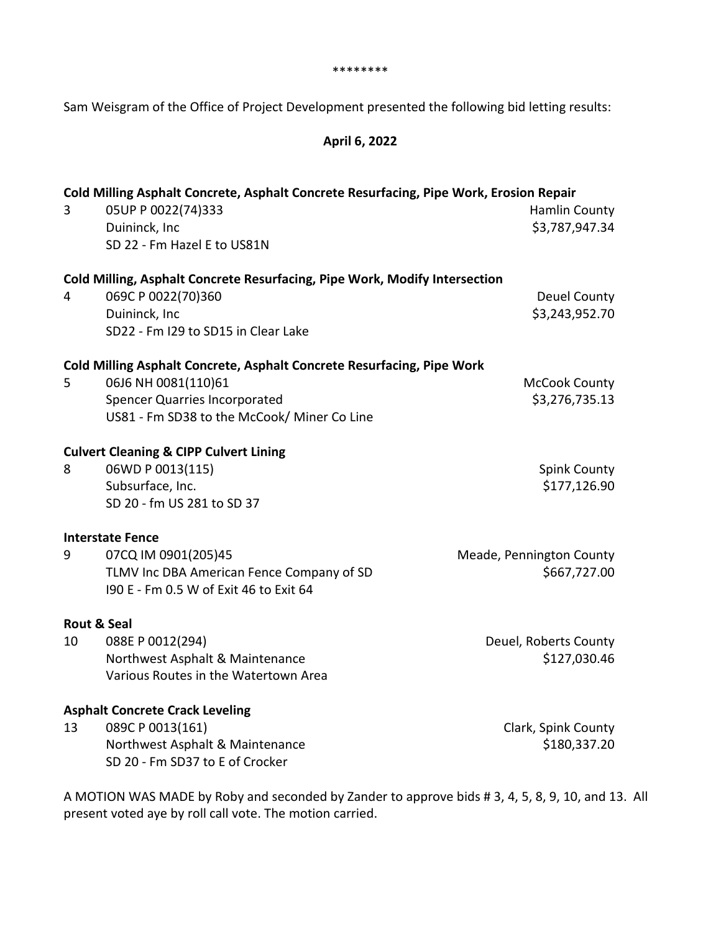\*\*\*\*\*\*\*\*

Sam Weisgram of the Office of Project Development presented the following bid letting results:

## **April 6, 2022**

| 3                            | Cold Milling Asphalt Concrete, Asphalt Concrete Resurfacing, Pipe Work, Erosion Repair<br>05UP P 0022(74)333<br>Duininck, Inc<br>SD 22 - Fm Hazel E to US81N                         | Hamlin County<br>\$3,787,947.34          |
|------------------------------|--------------------------------------------------------------------------------------------------------------------------------------------------------------------------------------|------------------------------------------|
| 4                            | Cold Milling, Asphalt Concrete Resurfacing, Pipe Work, Modify Intersection<br>069C P 0022(70)360<br>Duininck, Inc<br>SD22 - Fm I29 to SD15 in Clear Lake                             | <b>Deuel County</b><br>\$3,243,952.70    |
| 5                            | Cold Milling Asphalt Concrete, Asphalt Concrete Resurfacing, Pipe Work<br>06J6 NH 0081(110)61<br><b>Spencer Quarries Incorporated</b><br>US81 - Fm SD38 to the McCook/ Miner Co Line | <b>McCook County</b><br>\$3,276,735.13   |
| 8                            | <b>Culvert Cleaning &amp; CIPP Culvert Lining</b><br>06WD P 0013(115)<br>Subsurface, Inc.<br>SD 20 - fm US 281 to SD 37                                                              | <b>Spink County</b><br>\$177,126.90      |
| 9                            | <b>Interstate Fence</b><br>07CQ IM 0901(205)45<br>TLMV Inc DBA American Fence Company of SD<br>190 E - Fm 0.5 W of Exit 46 to Exit 64                                                | Meade, Pennington County<br>\$667,727.00 |
| <b>Rout &amp; Seal</b><br>10 | 088E P 0012(294)<br>Northwest Asphalt & Maintenance<br>Various Routes in the Watertown Area                                                                                          | Deuel, Roberts County<br>\$127,030.46    |
| 13                           | <b>Asphalt Concrete Crack Leveling</b><br>089C P 0013(161)<br>Northwest Asphalt & Maintenance<br>SD 20 - Fm SD37 to E of Crocker                                                     | Clark, Spink County<br>\$180,337.20      |

A MOTION WAS MADE by Roby and seconded by Zander to approve bids # 3, 4, 5, 8, 9, 10, and 13. All present voted aye by roll call vote. The motion carried.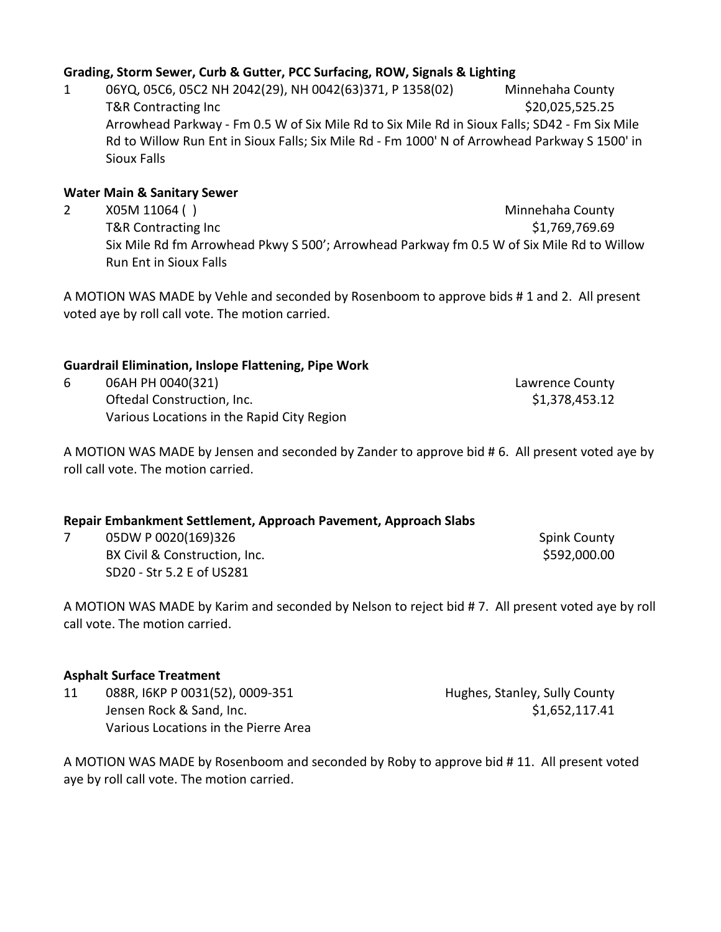## **Grading, Storm Sewer, Curb & Gutter, PCC Surfacing, ROW, Signals & Lighting**

1 06YQ, 05C6, 05C2 NH 2042(29), NH 0042(63)371, P 1358(02) Minnehaha County T&R Contracting Inc 6.20,025,525.25 Arrowhead Parkway - Fm 0.5 W of Six Mile Rd to Six Mile Rd in Sioux Falls; SD42 - Fm Six Mile Rd to Willow Run Ent in Sioux Falls; Six Mile Rd - Fm 1000' N of Arrowhead Parkway S 1500' in Sioux Falls

## **Water Main & Sanitary Sewer**

2 X05M 11064 ( ) and the state of the state of the Minnehaha County T&R Contracting Inc **the Contracting Inc.** The Contraction of the Contracting Inc. **51,769,769.69** Six Mile Rd fm Arrowhead Pkwy S 500'; Arrowhead Parkway fm 0.5 W of Six Mile Rd to Willow Run Ent in Sioux Falls

A MOTION WAS MADE by Vehle and seconded by Rosenboom to approve bids # 1 and 2. All present voted aye by roll call vote. The motion carried.

## **Guardrail Elimination, Inslope Flattening, Pipe Work**

| 06AH PH 0040(321)                          | Lawrence County |
|--------------------------------------------|-----------------|
| Oftedal Construction, Inc.                 | \$1,378,453.12  |
| Various Locations in the Rapid City Region |                 |

A MOTION WAS MADE by Jensen and seconded by Zander to approve bid # 6. All present voted aye by roll call vote. The motion carried.

### **Repair Embankment Settlement, Approach Pavement, Approach Slabs**

7 05DW P 0020(169)326 Spink County BX Civil & Construction, Inc. \$592,000.00 SD20 - Str 5.2 E of US281

A MOTION WAS MADE by Karim and seconded by Nelson to reject bid # 7. All present voted aye by roll call vote. The motion carried.

#### **Asphalt Surface Treatment**

| 11 | 088R, I6KP P 0031(52), 0009-351      | Hughes, Stanley, Sully County |
|----|--------------------------------------|-------------------------------|
|    | Jensen Rock & Sand, Inc.             | \$1,652,117.41                |
|    | Various Locations in the Pierre Area |                               |

A MOTION WAS MADE by Rosenboom and seconded by Roby to approve bid # 11. All present voted aye by roll call vote. The motion carried.